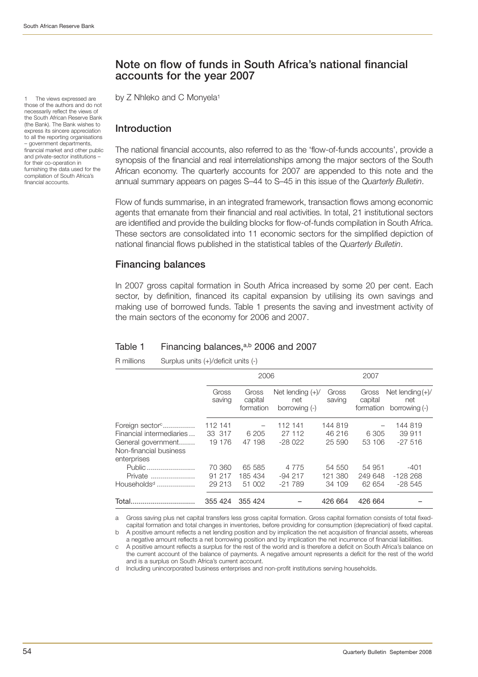The views expressed are those of the authors and do not necessarily reflect the views of the South African Reserve Bank (the Bank). The Bank wishes to express its sincere appreciation to all the reporting organisations – government departments, financial market and other public and private-sector institutions – for their co-operation in furnishing the data used for the compilation of South Africa's financial accounts.

# **Note on flow of funds in South Africa's national financial accounts for the year 2007**

by Z Nhleko and C Monyela<sup>1</sup>

## **Introduction**

The national financial accounts, also referred to as the 'flow-of-funds accounts', provide a synopsis of the financial and real interrelationships among the major sectors of the South African economy. The quarterly accounts for 2007 are appended to this note and the annual summary appears on pages S–44 to S–45 in this issue of the *Quarterly Bulletin*.

Flow of funds summarise, in an integrated framework, transaction flows among economic agents that emanate from their financial and real activities. In total, 21 institutional sectors are identified and provide the building blocks for flow-of-funds compilation in South Africa. These sectors are consolidated into 11 economic sectors for the simplified depiction of national financial flows published in the statistical tables of the *Quarterly Bulletin*.

# **Financing balances**

In 2007 gross capital formation in South Africa increased by some 20 per cent. Each sector, by definition, financed its capital expansion by utilising its own savings and making use of borrowed funds. Table 1 presents the saving and investment activity of the main sectors of the economy for 2006 and 2007.

## Table 1 Financing balances,<sup>a,b</sup> 2006 and 2007

R millions Surplus units (+)/deficit units (-)

|                                                             |                   | 2006                              |                                            |                   | 2007                          |                                            |  |
|-------------------------------------------------------------|-------------------|-----------------------------------|--------------------------------------------|-------------------|-------------------------------|--------------------------------------------|--|
|                                                             | Gross<br>saving   | Gross<br>capital<br>formation     | Net lending $(+)/$<br>net<br>borrowing (-) | Gross<br>saving   | Gross<br>capital<br>formation | Net lending $(+)/$<br>net<br>borrowing (-) |  |
| Foreign sector <sup>c</sup><br>Financial intermediaries     | 112 141<br>33 317 | $\overline{\phantom{0}}$<br>6 205 | 112 141<br>27 112                          | 144 819<br>46 216 | 6 305                         | 144 819<br>39 911                          |  |
| General government<br>Non-financial business<br>enterprises | 19 176            | 47 198                            | $-28022$                                   | 25 590            | 53 106                        | $-27516$                                   |  |
| Public                                                      | 70 360            | 65 585                            | 4 7 7 5                                    | 54 550            | 54 951                        | $-401$                                     |  |
| Private<br>Households <sup>d</sup>                          | 91 217<br>29 213  | 185 434<br>51 002                 | $-94217$<br>$-21789$                       | 121 380<br>34 109 | 249 648<br>62 654             | $-128268$<br>$-28545$                      |  |
| Total.                                                      | 355 424           | 355 424                           |                                            | 426 664           | 426 664                       |                                            |  |

a Gross saving plus net capital transfers less gross capital formation. Gross capital formation consists of total fixedcapital formation and total changes in inventories, before providing for consumption (depreciation) of fixed capital. b A positive amount reflects a net lending position and by implication the net acquisition of financial assets, whereas

a negative amount reflects a net borrowing position and by implication the net incurrence of financial liabilities.

c A positive amount reflects a surplus for the rest of the world and is therefore a deficit on South Africa's balance on the current account of the balance of payments. A negative amount represents a deficit for the rest of the world and is a surplus on South Africa's current account.

d Including unincorporated business enterprises and non-profit institutions serving households.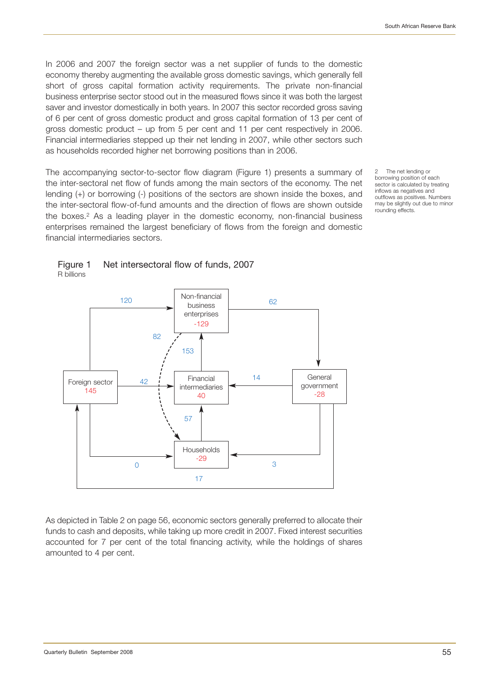In 2006 and 2007 the foreign sector was a net supplier of funds to the domestic economy thereby augmenting the available gross domestic savings, which generally fell short of gross capital formation activity requirements. The private non-financial business enterprise sector stood out in the measured flows since it was both the largest saver and investor domestically in both years. In 2007 this sector recorded gross saving of 6 per cent of gross domestic product and gross capital formation of 13 per cent of gross domestic product – up from 5 per cent and 11 per cent respectively in 2006. Financial intermediaries stepped up their net lending in 2007, while other sectors such as households recorded higher net borrowing positions than in 2006.

The accompanying sector-to-sector flow diagram (Figure 1) presents a summary of the inter-sectoral net flow of funds among the main sectors of the economy. The net lending (+) or borrowing (-) positions of the sectors are shown inside the boxes, and the inter-sectoral flow-of-fund amounts and the direction of flows are shown outside the boxes.2 As a leading player in the domestic economy, non-financial business enterprises remained the largest beneficiary of flows from the foreign and domestic financial intermediaries sectors.

The net lending or borrowing position of each sector is calculated by treating inflows as negatives and outflows as positives. Numbers may be slightly out due to minor rounding effects.





As depicted in Table 2 on page 56, economic sectors generally preferred to allocate their funds to cash and deposits, while taking up more credit in 2007. Fixed interest securities accounted for 7 per cent of the total financing activity, while the holdings of shares amounted to 4 per cent.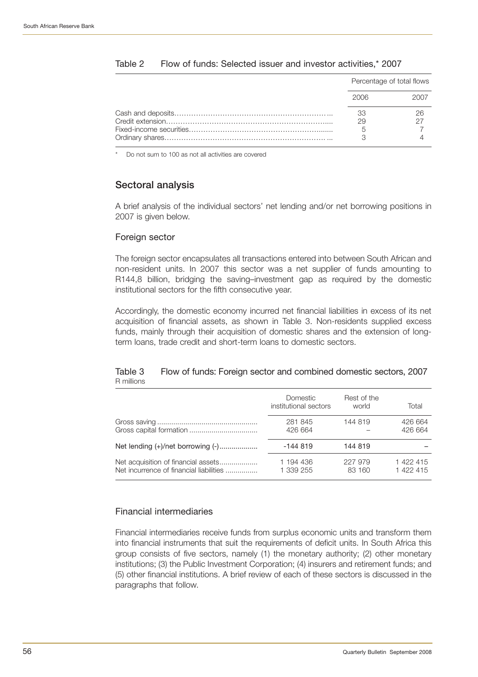|          | Percentage of total flows |
|----------|---------------------------|
| 2006     |                           |
| 33<br>29 |                           |

## Table 2 Flow of funds: Selected issuer and investor activities,\* 2007

Do not sum to 100 as not all activities are covered

## **Sectoral analysis**

A brief analysis of the individual sectors' net lending and/or net borrowing positions in 2007 is given below.

## Foreign sector

The foreign sector encapsulates all transactions entered into between South African and non-resident units. In 2007 this sector was a net supplier of funds amounting to R144,8 billion, bridging the saving–investment gap as required by the domestic institutional sectors for the fifth consecutive year.

Accordingly, the domestic economy incurred net financial liabilities in excess of its net acquisition of financial assets, as shown in Table 3. Non-residents supplied excess funds, mainly through their acquisition of domestic shares and the extension of longterm loans, trade credit and short-term loans to domestic sectors.

## Table 3 Flow of funds: Foreign sector and combined domestic sectors, 2007 R millions

|                                         | <b>Domestic</b><br>institutional sectors | Rest of the<br>world | Total     |
|-----------------------------------------|------------------------------------------|----------------------|-----------|
|                                         | 281 845                                  | 144 819              | 426 664   |
|                                         | 426 664                                  |                      | 426 664   |
|                                         | $-144819$                                | 144 819              |           |
| Net acquisition of financial assets     | 1 194 436                                | 227 979              | 1 422 415 |
| Net incurrence of financial liabilities | 1 339 255                                | 83 160               | 1 422 415 |

## Financial intermediaries

Financial intermediaries receive funds from surplus economic units and transform them into financial instruments that suit the requirements of deficit units. In South Africa this group consists of five sectors, namely (1) the monetary authority; (2) other monetary institutions; (3) the Public Investment Corporation; (4) insurers and retirement funds; and (5) other financial institutions. A brief review of each of these sectors is discussed in the paragraphs that follow.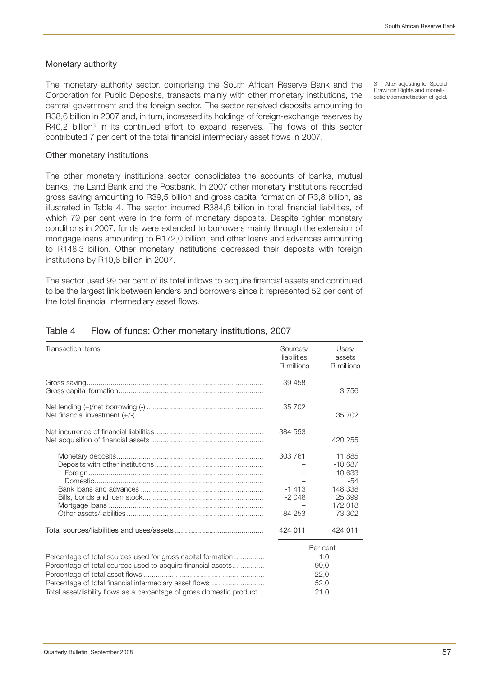## Monetary authority

The monetary authority sector, comprising the South African Reserve Bank and the Corporation for Public Deposits, transacts mainly with other monetary institutions, the central government and the foreign sector. The sector received deposits amounting to R38,6 billion in 2007 and, in turn, increased its holdings of foreign-exchange reserves by R40,2 billion<sup>3</sup> in its continued effort to expand reserves. The flows of this sector contributed 7 per cent of the total financial intermediary asset flows in 2007.

3 After adjusting for Special Drawings Rights and monetisation/demonetisation of gold.

#### Other monetary institutions

The other monetary institutions sector consolidates the accounts of banks, mutual banks, the Land Bank and the Postbank. In 2007 other monetary institutions recorded gross saving amounting to R39,5 billion and gross capital formation of R3,8 billion, as illustrated in Table 4. The sector incurred R384,6 billion in total financial liabilities, of which 79 per cent were in the form of monetary deposits. Despite tighter monetary conditions in 2007, funds were extended to borrowers mainly through the extension of mortgage loans amounting to R172,0 billion, and other loans and advances amounting to R148,3 billion. Other monetary institutions decreased their deposits with foreign institutions by R10,6 billion in 2007.

The sector used 99 per cent of its total inflows to acquire financial assets and continued to be the largest link between lenders and borrowers since it represented 52 per cent of the total financial intermediary asset flows.

| Transaction items                                                                                                                                                                                                                                               | Sources/<br>liabilities<br>R millions   | Uses/<br>assets<br>R millions                                                   |
|-----------------------------------------------------------------------------------------------------------------------------------------------------------------------------------------------------------------------------------------------------------------|-----------------------------------------|---------------------------------------------------------------------------------|
|                                                                                                                                                                                                                                                                 | 39 458                                  | 3756                                                                            |
|                                                                                                                                                                                                                                                                 | 35 702                                  | 35 702                                                                          |
|                                                                                                                                                                                                                                                                 | 384 553                                 | 420 255                                                                         |
|                                                                                                                                                                                                                                                                 | 303 761<br>$-1413$<br>$-2048$<br>84 253 | 11 885<br>$-10687$<br>$-10633$<br>-54<br>148 338<br>25 399<br>172 018<br>73 302 |
|                                                                                                                                                                                                                                                                 | 424 011                                 | 424 011                                                                         |
| Percentage of total sources used for gross capital formation<br>Percentage of total sources used to acquire financial assets<br>Percentage of total financial intermediary asset flows<br>Total asset/liability flows as a percentage of gross domestic product |                                         | Per cent<br>1,0<br>99.0<br>22,0<br>52,0<br>21,0                                 |

## Table 4 Flow of funds: Other monetary institutions, 2007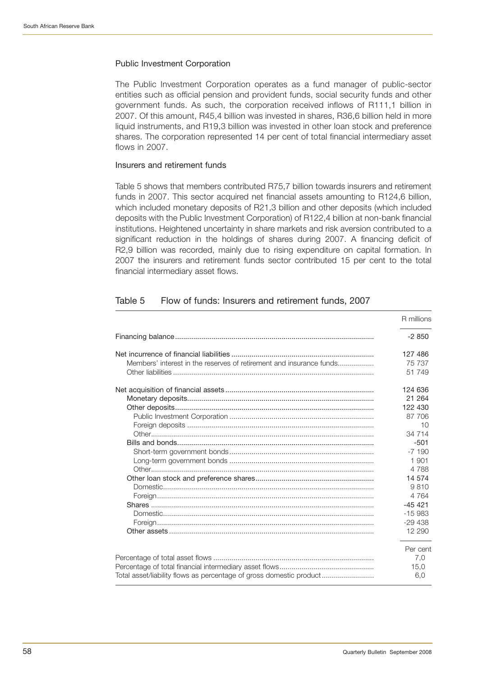## Public Investment Corporation

The Public Investment Corporation operates as a fund manager of public-sector entities such as official pension and provident funds, social security funds and other government funds. As such, the corporation received inflows of R111,1 billion in 2007. Of this amount, R45,4 billion was invested in shares, R36,6 billion held in more liquid instruments, and R19,3 billion was invested in other loan stock and preference shares. The corporation represented 14 per cent of total financial intermediary asset flows in 2007.

## Insurers and retirement funds

Table 5 shows that members contributed R75,7 billion towards insurers and retirement funds in 2007. This sector acquired net financial assets amounting to R124,6 billion, which included monetary deposits of R21,3 billion and other deposits (which included deposits with the Public Investment Corporation) of R122,4 billion at non-bank financial institutions. Heightened uncertainty in share markets and risk aversion contributed to a significant reduction in the holdings of shares during 2007. A financing deficit of R2,9 billion was recorded, mainly due to rising expenditure on capital formation. In 2007 the insurers and retirement funds sector contributed 15 per cent to the total financial intermediary asset flows.

## Table 5 Flow of funds: Insurers and retirement funds, 2007

|                                                                     | R millions |
|---------------------------------------------------------------------|------------|
|                                                                     | $-2850$    |
|                                                                     | 127 486    |
| Members' interest in the reserves of retirement and insurance funds | 75 737     |
|                                                                     | 51 749     |
|                                                                     | 124 636    |
|                                                                     | 21 264     |
|                                                                     | 122 430    |
|                                                                     | 87 706     |
|                                                                     | 10         |
|                                                                     | 34 714     |
|                                                                     | $-501$     |
|                                                                     | $-7190$    |
|                                                                     | 1 901      |
|                                                                     | 4 7 8 8    |
|                                                                     | 14 574     |
|                                                                     | 9810       |
|                                                                     | 4 7 6 4    |
|                                                                     | $-45421$   |
|                                                                     | $-15983$   |
|                                                                     | $-29438$   |
|                                                                     | 12 290     |
|                                                                     | Per cent   |
|                                                                     | 7,0        |
|                                                                     | 15,0       |
| Total asset/liability flows as percentage of gross domestic product | 6,0        |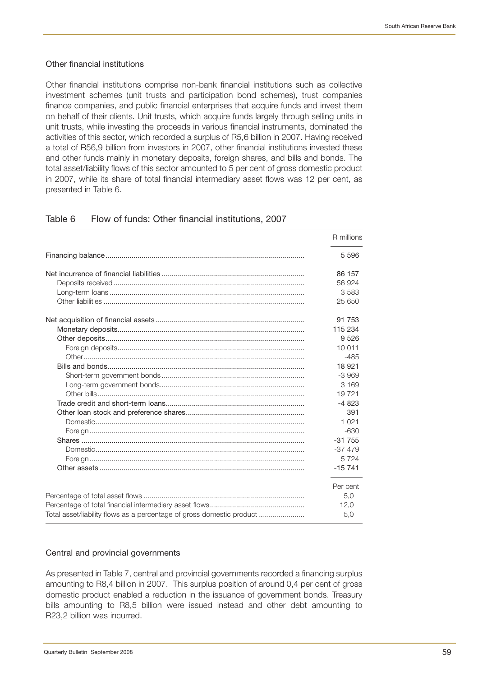## Other financial institutions

Other financial institutions comprise non-bank financial institutions such as collective investment schemes (unit trusts and participation bond schemes), trust companies finance companies, and public financial enterprises that acquire funds and invest them on behalf of their clients. Unit trusts, which acquire funds largely through selling units in unit trusts, while investing the proceeds in various financial instruments, dominated the activities of this sector, which recorded a surplus of R5,6 billion in 2007. Having received a total of R56,9 billion from investors in 2007, other financial institutions invested these and other funds mainly in monetary deposits, foreign shares, and bills and bonds. The total asset/liability flows of this sector amounted to 5 per cent of gross domestic product in 2007, while its share of total financial intermediary asset flows was 12 per cent, as presented in Table 6.

|                                                                       | R millions |
|-----------------------------------------------------------------------|------------|
|                                                                       | 5 5 9 6    |
|                                                                       | 86 157     |
|                                                                       | 56 924     |
|                                                                       | 3583       |
|                                                                       | 25 650     |
|                                                                       | 91 753     |
|                                                                       | 115 234    |
|                                                                       | 9 5 2 6    |
|                                                                       | 10 011     |
|                                                                       | $-485$     |
|                                                                       | 18 9 21    |
|                                                                       | $-3.969$   |
|                                                                       | 3 1 6 9    |
|                                                                       | 19721      |
|                                                                       | $-4823$    |
|                                                                       | 391        |
|                                                                       | 1 0 2 1    |
|                                                                       | $-630$     |
|                                                                       | $-31755$   |
|                                                                       | $-37479$   |
|                                                                       | 5724       |
|                                                                       | $-15741$   |
|                                                                       | Per cent   |
|                                                                       | 5,0        |
|                                                                       | 12,0       |
| Total asset/liability flows as a percentage of gross domestic product | 5,0        |

## Table 6 Flow of funds: Other financial institutions, 2007

## Central and provincial governments

As presented in Table 7, central and provincial governments recorded a financing surplus amounting to R8,4 billion in 2007. This surplus position of around 0,4 per cent of gross domestic product enabled a reduction in the issuance of government bonds. Treasury bills amounting to R8,5 billion were issued instead and other debt amounting to R23,2 billion was incurred.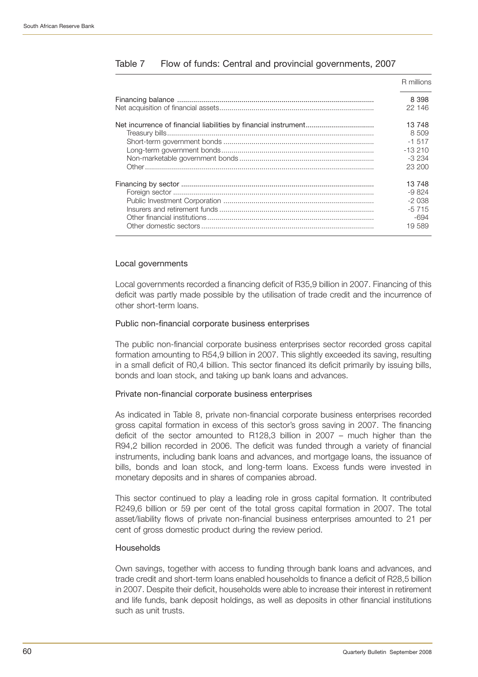| R millions        |
|-------------------|
| 8 3 9 8<br>22 146 |
| 13 748            |
| 8 509             |
| $-1.517$          |
| $-13210$          |
| $-3234$           |
| 23,200            |
| 13 748            |
| $-9824$           |
| $-2038$           |
| $-5715$           |
| $-694$            |
| 19 589            |

## Table 7 Flow of funds: Central and provincial governments, 2007

## Local governments

Local governments recorded a financing deficit of R35,9 billion in 2007. Financing of this deficit was partly made possible by the utilisation of trade credit and the incurrence of other short-term loans.

## Public non-financial corporate business enterprises

The public non-financial corporate business enterprises sector recorded gross capital formation amounting to R54,9 billion in 2007. This slightly exceeded its saving, resulting in a small deficit of R0,4 billion. This sector financed its deficit primarily by issuing bills, bonds and loan stock, and taking up bank loans and advances.

#### Private non-financial corporate business enterprises

As indicated in Table 8, private non-financial corporate business enterprises recorded gross capital formation in excess of this sector's gross saving in 2007. The financing deficit of the sector amounted to R128,3 billion in 2007 – much higher than the R94,2 billion recorded in 2006. The deficit was funded through a variety of financial instruments, including bank loans and advances, and mortgage loans, the issuance of bills, bonds and loan stock, and long-term loans. Excess funds were invested in monetary deposits and in shares of companies abroad.

This sector continued to play a leading role in gross capital formation. It contributed R249,6 billion or 59 per cent of the total gross capital formation in 2007. The total asset/liability flows of private non-financial business enterprises amounted to 21 per cent of gross domestic product during the review period.

#### **Households**

Own savings, together with access to funding through bank loans and advances, and trade credit and short-term loans enabled households to finance a deficit of R28,5 billion in 2007. Despite their deficit, households were able to increase their interest in retirement and life funds, bank deposit holdings, as well as deposits in other financial institutions such as unit trusts.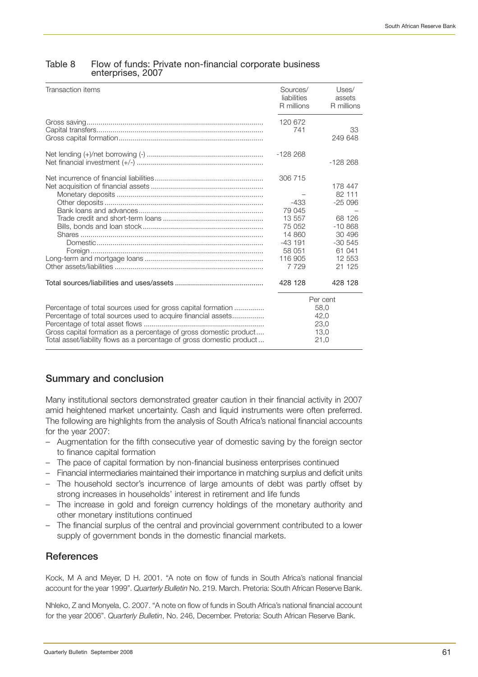## Table 8 Flow of funds: Private non-financial corporate business enterprises, 2007

| Transaction items                                                                                                                                                                                                                                                          | Sources/<br>liabilities<br>R millions                                                                 | Uses/<br>assets<br>R millions                                                                              |
|----------------------------------------------------------------------------------------------------------------------------------------------------------------------------------------------------------------------------------------------------------------------------|-------------------------------------------------------------------------------------------------------|------------------------------------------------------------------------------------------------------------|
|                                                                                                                                                                                                                                                                            | 120 672<br>741                                                                                        | 33<br>249 648                                                                                              |
|                                                                                                                                                                                                                                                                            | $-128268$                                                                                             | $-128268$                                                                                                  |
|                                                                                                                                                                                                                                                                            | 306 715<br>$-433$<br>79 045<br>13 557<br>75 052<br>14 860<br>$-43191$<br>58 051<br>116 905<br>7 7 2 9 | 178 447<br>82 111<br>$-25096$<br>68 126<br>$-10.868$<br>30 496<br>$-30.545$<br>61 041<br>12 553<br>21 1 25 |
|                                                                                                                                                                                                                                                                            | 428 128                                                                                               | 428 128                                                                                                    |
| Percentage of total sources used for gross capital formation<br>Percentage of total sources used to acquire financial assets<br>Gross capital formation as a percentage of gross domestic product<br>Total asset/liability flows as a percentage of gross domestic product |                                                                                                       | Per cent<br>58,0<br>42,0<br>23,0<br>13,0<br>21,0                                                           |

# **Summary and conclusion**

Many institutional sectors demonstrated greater caution in their financial activity in 2007 amid heightened market uncertainty. Cash and liquid instruments were often preferred. The following are highlights from the analysis of South Africa's national financial accounts for the year 2007:

- Augmentation for the fifth consecutive year of domestic saving by the foreign sector to finance capital formation
- The pace of capital formation by non-financial business enterprises continued
- Financial intermediaries maintained their importance in matching surplus and deficit units
- The household sector's incurrence of large amounts of debt was partly offset by strong increases in households' interest in retirement and life funds
- The increase in gold and foreign currency holdings of the monetary authority and other monetary institutions continued
- The financial surplus of the central and provincial government contributed to a lower supply of government bonds in the domestic financial markets.

# **References**

Kock, M A and Meyer, D H. 2001. "A note on flow of funds in South Africa's national financial account for the year 1999". *Quarterly Bulletin* No. 219. March. Pretoria: South African Reserve Bank.

Nhleko, Z and Monyela, C. 2007. "A note on flow of funds in South Africa's national financial account for the year 2006". *Quarterly Bulletin*, No. 246, December. Pretoria: South African Reserve Bank.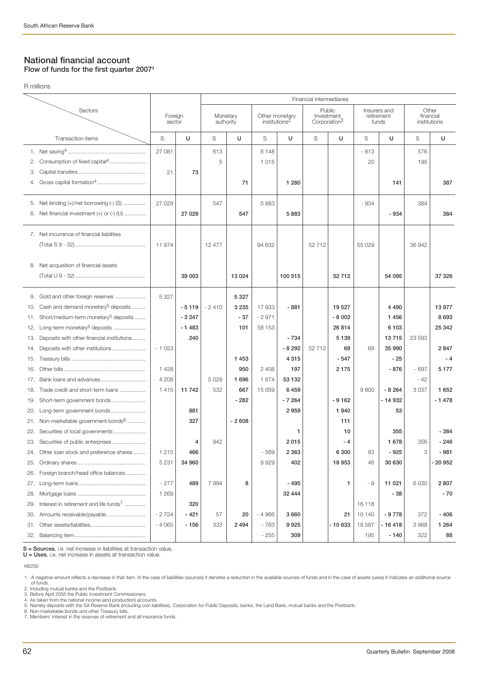R millions

## **National financial account Flow of funds for the first quarter 20071**

Financial intermediaries Sectors Public Insurers and Other Public Insurers and Other Public Insurers and Other Foreign Monetary Other monetary Investment retirement financial<br>sector authority institutions<sup>2</sup> Corporation<sup>3</sup> funds institutions Corporation<sup>3</sup> Transaction items S **U** S **U** S **U** S **U** S **U** S **U** 1. Net saving4 ................................................... 2. Consumption of fixed capital<sup>4</sup>............... 3. Capital transfers ............................................ 4. Gross capital formation<sup>4</sup>........ 5. Net lending (+)/net borrowing (-) (S) ............... 6. Net financial investment  $(+)$  or  $(-)$   $($ U $)$  ......... 7. Net incurrence of financial liabilities (Total S 9 - 32)............................................... 8. Net acquisition of financial assets (Total U 9 - 32) .............................................. 9. Gold and other foreign reserves 10. Cash and demand monetary<sup>5</sup> deposits ........ 11. Short/medium-term monetary<sup>5</sup> deposits ...... 12. Long-term monetary<sup>5</sup> deposits .................... 13. Deposits with other financial institutions......... 14. Deposits with other institutions ...................... 15. Treasury bills ................................................. 16. Other bills. 17. Bank loans and advances................. 18. Trade credit and short-term loans ...... 19. Short-term government bonds 20. Long-term government bonds........... 21. Non-marketable government bonds $6$  ..... 22. Securities of local governments .................... 23. Securities of public enterprises .......... 24. Other loan stock and preference shares ........ 25. Ordinary shares ............................................. 26. Foreign branch/head office balances ............. 27. Long-term loans............................................ 28. Mortgage loans ............................................. 29. Interest in retirement and life funds<sup>7</sup> 30. Amounts receivable/payable.......................... 31. Other assets/liabilities.................................... 32. Balancing item... 27 081 | 613 | 6148 | | | | | -813 | | 576 5 | 1015 | | | 20 | 195 21 **73** 71 | 1280 | | | 141 | 387 27 029 | 547 | 5883 | | | | | | 934 | | 384 27 029 **547 1 547 1 548**3 1 5883 2 5884 5934 5884 11 974 | 12 477 | 94 632 | 52 712 | 55 029 | 36 942 **39 003 13 024 100 515 52 712 54 095 37 326** 5 327 **5 327 - 5 119** - 2 410 **3 235** 17 933 **- 881 19 527 4 490 13 977 - 3 247 - 37** - 2 971 **- 8 002 1 456 8 693 - 1 483 101** 58 153 **26 814 6 103 25 342 240 13 715 13 716 13 716 13 716 13 716 13 716 13 716 13 716** - 1 053 **- 8 292** 52 712 **69** 69 **35 990 2 847 1 453 4 315 - 547 - 25 - 4** 1 428 **950** 2 408 **197 2 175 - 876** - 697 **5 177** 4 208 5 029 **1 696** 1 674 **53 132** - 42 1 415 **11 742** 532 **667** 15 059 **6 459** 9 800 **- 8 264** 3 037 **1 652 - 282 - 7 264 - 9 162 - 14 932 - 1 478 881 2 959 1 940 53 327** | 2608 | | | | 111 1 | 10 | 355 | -384 **4** 942 **2 015 - 4 1 678** 356 **- 246** 1 215 **466** - 569 **2 363 6 300** 83 **- 925** 3 **- 981** 5 231 **34 960** 8 929 **402 18 953** 46 **30 630 - 20 952** - 277 **489** 7 994 **8 - 495 1** - 9 **11 021** 6 030 **2 807** 1 269 **1 269 1 269 1 269 1 269 1 270 1 289 1 289 1 289 1 289 1 289 1 289 1 289 1 289 1 289 1 289 1 289 1 289 1 320** 16 118 - 2 724 **- 421** 57 **20** - 4 966 **3 660 21** 10 140 **- 9 778** 372 **- 406** - 4 065 **- 156** 333 **2 494** - 763 **9 925 - 10 633** 18 587 **- 16 418** 3 968 **1 264** - 255 **309** 195 **- 140** 322 **88**

**S = Sources**, i.e. net increase in liabilities at transaction value. **U = Uses**, i.e. net increase in assets at transaction value.

KB<sub>230</sub>

1. A negative amount reflects a decrease in that item. In the case of liabilities (sources) it denotes a reduction in the available sources of funds and in the case of assets (uses) it indicates an additional source of funds.

2. Including mutual banks and the Postbank.

3. Before April 2005 the Public Investment Commissioners.

4. As taken from the national income (and production) accounts. 5. Namely deposits with the SA Reserve Bank (including coin liabilities), Corporation for Public Deposits, banks, the Land Bank, mutual banks and the Postbank. 6. Non-marketable bonds and other Treasury bills.

7. Members' interest in the reserves of retirement and all insurance funds.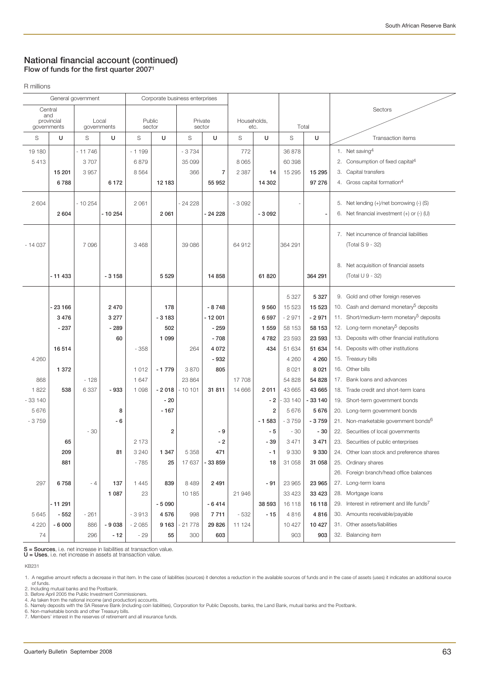## **National financial account (continued) Flow of funds for the first quarter 20071**

R millions

| General government |            |          |             | Corporate business enterprises |         |                |          |             |         |         |                |  |                                                        |
|--------------------|------------|----------|-------------|--------------------------------|---------|----------------|----------|-------------|---------|---------|----------------|--|--------------------------------------------------------|
| Central            |            |          |             |                                |         |                |          |             |         |         |                |  | Sectors                                                |
| and                | provincial | Local    |             | Public                         |         | Private        |          | Households, |         |         |                |  |                                                        |
| governments        |            |          | governments | sector                         |         | sector         |          | etc.        |         | Total   |                |  |                                                        |
| S                  | U          | S        | U           | S                              | U       | S              | U        | S           | U       | S       | U              |  | Transaction items                                      |
| 19 180             |            | $-11746$ |             | $-1199$                        |         | $-3734$        |          | 772         |         | 36 878  |                |  | 1. Net saving <sup>4</sup>                             |
| 5413               |            | 3707     |             | 6879                           |         | 35 099         |          | 8 0 6 5     |         | 60 398  |                |  | 2. Consumption of fixed capital <sup>4</sup>           |
|                    | 15 201     | 3957     |             | 8 5 6 4                        |         | 366            | 7        | 2 3 8 7     | 14      | 15 295  | 15 295         |  | 3. Capital transfers                                   |
|                    | 6788       |          | 6172        |                                | 12 183  |                | 55 952   |             | 14 302  |         | 97 276         |  | 4. Gross capital formation <sup>4</sup>                |
|                    |            |          |             |                                |         |                |          |             |         |         |                |  |                                                        |
| 2 604              |            | $-10254$ |             | 2 0 6 1                        |         | $-24228$       |          | $-3092$     |         |         |                |  | 5. Net lending (+)/net borrowing (-) (S)               |
|                    | 2 604      |          | $-10254$    |                                | 2 0 6 1 |                | $-24228$ |             | $-3092$ |         | $\overline{a}$ |  | 6. Net financial investment $(+)$ or $(-)$ $(U)$       |
|                    |            |          |             |                                |         |                |          |             |         |         |                |  | 7. Net incurrence of financial liabilities             |
| $-14037$           |            | 7096     |             | 3 4 6 8                        |         | 39 086         |          | 64 912      |         | 364 291 |                |  | (Total S 9 - 32)                                       |
|                    |            |          |             |                                |         |                |          |             |         |         |                |  |                                                        |
|                    |            |          |             |                                |         |                |          |             |         |         |                |  | 8. Net acquisition of financial assets                 |
|                    | - 11 433   |          | $-3158$     |                                | 5 5 2 9 |                | 14 8 58  |             | 61 820  |         | 364 291        |  | (Total U 9 - 32)                                       |
|                    |            |          |             |                                |         |                |          |             |         |         |                |  |                                                        |
|                    |            |          |             |                                |         |                |          |             |         | 5 3 2 7 | 5 3 2 7        |  | 9. Gold and other foreign reserves                     |
|                    | - 23 166   |          | 2470        |                                | 178     |                | $-8748$  |             | 9 5 6 0 | 15 5 23 | 15 5 23        |  | 10. Cash and demand monetary <sup>5</sup> deposits     |
|                    | 3 4 7 6    |          | 3 2 7 7     |                                | $-3183$ |                | $-12001$ |             | 6 5 9 7 | $-2971$ | $-2971$        |  | 11. Short/medium-term monetary <sup>5</sup> deposits   |
|                    | $-237$     |          | $-289$      |                                | 502     |                | $-259$   |             | 1 5 5 9 | 58 153  | 58 1 53        |  | 12. Long-term monetary <sup>5</sup> deposits           |
|                    |            |          | 60          |                                | 1 0 9 9 |                | $-708$   |             | 4782    | 23 593  | 23 593         |  | 13. Deposits with other financial institutions         |
|                    | 16 514     |          |             | $-358$                         |         | 264            | 4 0 7 2  |             | 434     | 51 634  | 51 634         |  | 14. Deposits with other institutions                   |
| 4 2 6 0            |            |          |             |                                |         |                | $-932$   |             |         | 4 2 6 0 | 4 2 6 0        |  | 15. Treasury bills                                     |
|                    | 1 372      |          |             | 1012                           | $-1779$ | 3870           | 805      |             |         | 8 0 21  | 8 0 21         |  | 16. Other bills                                        |
| 868                |            | $-128$   |             | 1 647                          |         | 23 864         |          | 17 708      |         | 54 828  | 54 828         |  | 17. Bank loans and advances                            |
| 1822               | 538        | 6 3 3 7  | - 933       | 1 0 9 8                        | $-2018$ | $-10101$       | 31 811   | 14 666      | 2011    | 43 665  | 43 665         |  | 18. Trade credit and short-term loans                  |
| $-33140$           |            |          |             |                                | $-20$   |                |          |             | $-2$    | 33 140  | $-33140$       |  | 19. Short-term government bonds                        |
| 5676               |            |          | 8           |                                | $-167$  |                |          |             | 2       | 5676    | 5676           |  | 20. Long-term government bonds                         |
| $-3759$            |            |          | - 6         |                                |         |                |          |             | $-1583$ | $-3759$ | $-3759$        |  | 21. Non-marketable government bonds <sup>6</sup>       |
|                    |            | - 30     |             |                                | 2       |                | - 9      |             | $-5$    | $-30$   | $-30$          |  | 22. Securities of local governments                    |
|                    | 65         |          |             | 2 173                          |         |                | - 2      |             | - 39    | 3 4 7 1 | 3471           |  | 23. Securities of public enterprises                   |
|                    | 209        |          | 81          | 3 2 4 0                        | 1 3 4 7 | 5 3 5 8        | 471      |             | - 1     | 9 3 3 0 | 9 3 3 0        |  | 24. Other loan stock and preference shares             |
|                    | 881        |          |             | $-785$                         | 25      | 17637          | - 33 859 |             | 18      | 31 058  | 31 058         |  | 25. Ordinary shares                                    |
|                    |            |          |             |                                |         |                |          |             |         |         |                |  | 26. Foreign branch/head office balances                |
| 297                | 6758       | - 4      | 137         | 1 4 4 5                        | 839     | 8 4 8 9        | 2491     |             | $-91$   | 23 965  | 23 965         |  | 27. Long-term loans                                    |
|                    |            |          | 1 0 8 7     | 23                             |         | 10 185         |          | 21 946      |         | 33 4 23 | 33 4 23        |  | 28. Mortgage loans                                     |
|                    | - 11 291   |          |             |                                | $-5090$ |                | $-6414$  |             | 38 593  | 16 118  | 16118          |  | 29. Interest in retirement and life funds <sup>7</sup> |
| 5 6 4 5            | $-552$     | - 261    |             | $-3913$                        | 4576    | 998            | 7711     | - 532       | $-15$   | 4816    | 4816           |  | 30. Amounts receivable/payable                         |
| 4 2 2 0            | $-6000$    | 886      | $-9038$     | $-2085$                        |         | $9163 - 21778$ | 29 8 26  | 11 124      |         | 10 427  | 10 4 27        |  | 31. Other assets/liabilities                           |
| 74                 |            | 296      | $-12$       | - 29                           | 55      | 300            | 603      |             |         | 903     | 903            |  | 32. Balancing item                                     |

**S = Sources**, i.e. net increase in liabilities at transaction value. **U = Uses**, i.e. net increase in assets at transaction value.

KB231

2. Including mutual banks and the Postbank.<br>3. Before April 2005 the Public Investment Commissioners.<br>4. As taken from the national income (and production) accounts.<br>5. Namely deposits with the SA Reserve Bank (including c

<sup>1.</sup> A negative amount reflects a decrease in that item. In the case of liabilities (sources) it denotes a reduction in the available sources of funds and in the case of assets (uses) it indicates an additional source<br>of fun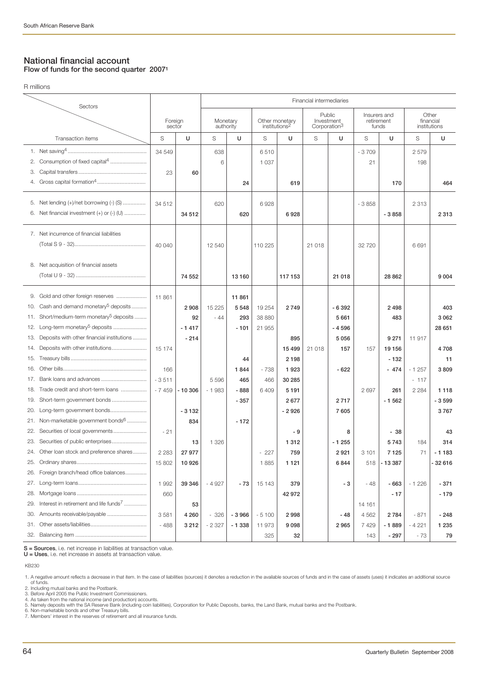## **National financial account Flow of funds for the second quarter 20071**

R millions

|     | Sectors                                            | Financial intermediaries |               |           |         |                           |         |                          |         |                            |           |                    |         |
|-----|----------------------------------------------------|--------------------------|---------------|-----------|---------|---------------------------|---------|--------------------------|---------|----------------------------|-----------|--------------------|---------|
|     |                                                    | Foreign                  |               | Monetary  |         | Other monetary            |         | Public<br>Investment     |         | Insurers and<br>retirement |           | Other<br>financial |         |
|     |                                                    | sector                   |               | authority |         | institutions <sup>2</sup> |         | Corporation <sup>3</sup> |         | funds                      |           | institutions       |         |
|     | Transaction items                                  | S                        | U             | S         | U       | S                         | U       | S                        | U       | S                          | U         | S                  | U       |
|     |                                                    | 34 549                   |               | 638       |         | 6510                      |         |                          |         | $-3709$                    |           | 2579               |         |
|     | 2. Consumption of fixed capital <sup>4</sup>       |                          |               | 6         |         | 1 0 3 7                   |         |                          |         | 21                         |           | 198                |         |
| 3.  |                                                    | 23                       | 60            |           |         |                           |         |                          |         |                            |           |                    |         |
|     |                                                    |                          |               |           | 24      |                           | 619     |                          |         |                            | 170       |                    | 464     |
|     | 5. Net lending (+)/net borrowing (-) (S)           | 34 512                   |               | 620       |         | 6928                      |         |                          |         | $-3858$                    |           | 2 3 1 3            |         |
| 6.  | Net financial investment (+) or (-) (U)            |                          | 34 512        |           | 620     |                           | 6928    |                          |         |                            | $-3858$   |                    | 2 3 1 3 |
|     |                                                    |                          |               |           |         |                           |         |                          |         |                            |           |                    |         |
|     | 7. Net incurrence of financial liabilities         |                          |               |           |         |                           |         |                          |         |                            |           |                    |         |
|     |                                                    | 40 040                   |               | 12 540    |         | 110 225                   |         | 21 018                   |         | 32 7 20                    |           | 6691               |         |
|     |                                                    |                          |               |           |         |                           |         |                          |         |                            |           |                    |         |
| 8.  | Net acquisition of financial assets                |                          |               |           |         |                           |         |                          |         |                            |           |                    |         |
|     |                                                    |                          | 74 552        |           | 13 160  |                           | 117 153 |                          | 21 018  |                            | 28 862    |                    | 9 0 0 4 |
|     | 9. Gold and other foreign reserves                 | 11 861                   |               |           | 11 861  |                           |         |                          |         |                            |           |                    |         |
| 10. | Cash and demand monetary <sup>5</sup> deposits     |                          | 2908          | 15 2 25   | 5 5 4 8 | 19 254                    | 2749    |                          | $-6392$ |                            | 2498      |                    | 403     |
| 11. | Short/medium-term monetary <sup>5</sup> deposits   |                          | 92            | $-44$     | 293     | 38 880                    |         |                          | 5 6 6 1 |                            | 483       |                    | 3 0 6 2 |
| 12. | Long-term monetary <sup>5</sup> deposits           |                          | $-1417$       |           | $-101$  | 21 955                    |         |                          | $-4596$ |                            |           |                    | 28 651  |
| 13. | Deposits with other financial institutions         |                          | $-214$        |           |         |                           | 895     |                          | 5 0 5 6 |                            | 9 2 7 1   | 11 917             |         |
| 14. | Deposits with other institutions                   | 15 174                   |               |           |         |                           | 15 4 99 | 21 018                   | 157     | 157                        | 19 156    |                    | 4708    |
| 15. |                                                    |                          |               |           | 44      |                           | 2 1 9 8 |                          |         |                            | $-132$    |                    | 11      |
| 16. |                                                    | 166                      |               |           | 1844    | - 738                     | 1923    |                          | $-622$  |                            | $-474$    | $-1257$            | 3809    |
| 17. | Bank loans and advances                            | $-3511$                  |               | 5 5 9 6   | 465     | 466                       | 30 285  |                          |         |                            |           | $-117$             |         |
| 18. | Trade credit and short-term loans                  | $-7459$                  | $-10306$      | $-1983$   | - 888   | 6 4 0 9                   | 5 1 9 1 |                          |         | 2697                       | 261       | 2 2 8 4            | 1 1 1 8 |
| 19. | Short-term government bonds                        |                          |               |           | $-357$  |                           | 2677    |                          | 2717    |                            | $-1562$   |                    | $-3599$ |
| 20. | Long-term government bonds                         |                          | $-3132$       |           |         |                           | $-2926$ |                          | 7 605   |                            |           |                    | 3767    |
|     | 21. Non-marketable government bonds <sup>6</sup>   |                          | 834           |           | $-172$  |                           |         |                          |         |                            |           |                    |         |
|     | 22. Securities of local governments                | $-21$                    |               |           |         |                           | - 9     |                          | 8       |                            | $-38$     |                    | 43      |
|     | 23. Securities of public enterprises               |                          | 13            | 1 3 2 6   |         |                           | 1 3 1 2 |                          | $-1255$ |                            | 5743      | 184                | 314     |
|     | 24. Other loan stock and preference shares         |                          | 2 2 8 27 9 77 |           |         | 227                       | 759     |                          | 2921    | 3 101                      | 7 1 2 5   | 71                 | $-1183$ |
|     |                                                    | 15 802                   | 10926         |           |         | 1885                      | 1 1 2 1 |                          | 6844    | 518                        | $ -13387$ |                    | -32616  |
| 26. | Foreign branch/head office balances                |                          |               |           |         |                           |         |                          |         |                            |           |                    |         |
| 27. |                                                    | 1 9 9 2                  | 39 346        | $-4927$   | $-73$   | 15 143                    | 379     |                          | - 3     | - 48                       | - 663     | $-1226$            | - 371   |
| 28. |                                                    | 660                      |               |           |         |                           | 42 972  |                          |         |                            | $-17$     |                    | $-179$  |
| 29. | Interest in retirement and life funds <sup>7</sup> |                          | 53            |           |         |                           |         |                          |         | 14 161                     |           |                    |         |
| 30. | Amounts receivable/payable                         | 3581                     | 4 2 6 0       | $-326$    | $-3966$ | $-5100$                   | 2998    |                          | $-48$   | 4 5 6 2                    | 2784      | - 871              | $-248$  |
| 31. |                                                    | $-488$                   | 3 2 1 2       | $-2327$   | $-1338$ | 11973                     | 9 0 9 8 |                          | 2965    | 7429                       | $-1889$   | - 4 221            | 1 2 3 5 |
|     |                                                    |                          |               |           |         | 325                       | 32      |                          |         | 143                        | $-297$    | - 73               | 79      |

**S = Sources**, i.e. net increase in liabilities at transaction value. **U = Uses**, i.e. net increase in assets at transaction value.

KB230

2. Including mutual banks and the Postbank.<br>3. Before April 2005 the Public Investment Commissioners.<br>4. As taken from the national income (and production) accounts.<br>4. As taken from the national income (and production) ac

<sup>1.</sup> A negative amount reflects a decrease in that item. In the case of liabilities (sources) it denotes a reduction in the available sources of funds and in the case of assets (uses) it indicates an additional source<br>of fun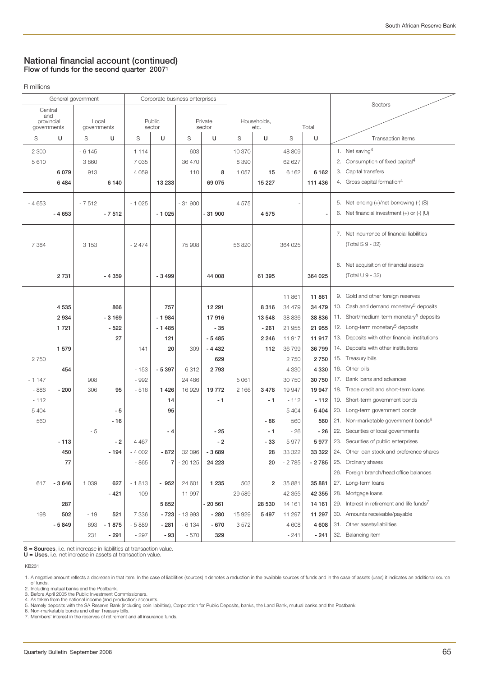## **National financial account (continued) Flow of funds for the second quarter 20071**

R millions

| General government |                   |             | Corporate business enterprises |         |         |          |          |         |                  |         |         |    |                                                        |
|--------------------|-------------------|-------------|--------------------------------|---------|---------|----------|----------|---------|------------------|---------|---------|----|--------------------------------------------------------|
|                    | Central           |             |                                |         |         |          |          |         |                  |         |         |    | Sectors                                                |
|                    | and<br>provincial | Local       |                                |         | Public  |          | Private  |         | Households,      |         |         |    |                                                        |
|                    | governments       | governments |                                |         | sector  |          | sector   |         | etc.             |         | Total   |    |                                                        |
| S                  | U                 | S           | U                              | S       | U       | S        | U        | S       | U                | S       | U       |    | Transaction items                                      |
| 2 3 0 0            |                   | $-6145$     |                                | 1 1 1 4 |         | 603      |          | 10 370  |                  | 48 809  |         |    | 1. Net saving <sup>4</sup>                             |
| 5610               |                   | 3 8 6 0     |                                | 7 0 3 5 |         | 36 470   |          | 8 3 9 0 |                  | 62 627  |         |    | 2. Consumption of fixed capital <sup>4</sup>           |
|                    | 6079              | 913         |                                | 4 0 5 9 |         | 110      | 8        | 1 0 5 7 | 15               | 6 1 6 2 | 6162    | 3. | Capital transfers                                      |
|                    | 6484              |             | 6140                           |         | 13 233  |          | 69 075   |         | 15 227           |         | 111 436 |    | 4. Gross capital formation <sup>4</sup>                |
|                    |                   | $-7512$     |                                | $-1025$ |         | $-31900$ |          | 4575    |                  |         |         |    | 5. Net lending (+)/net borrowing (-) (S)               |
| $-4653$            | $-4653$           |             |                                |         |         |          | $-31900$ |         |                  |         |         |    | 6. Net financial investment $(+)$ or $(-)$ $(U)$       |
|                    |                   |             | $-7512$                        |         | $-1025$ |          |          |         | 4575             |         |         |    |                                                        |
|                    |                   |             |                                |         |         |          |          |         |                  |         |         |    | 7. Net incurrence of financial liabilities             |
| 7 3 8 4            |                   | 3 1 5 3     |                                | $-2474$ |         | 75 908   |          | 56 820  |                  | 364 025 |         |    | (Total S 9 - 32)                                       |
|                    |                   |             |                                |         |         |          |          |         |                  |         |         |    |                                                        |
|                    |                   |             |                                |         |         |          |          |         |                  |         |         |    | 8. Net acquisition of financial assets                 |
|                    | 2 7 3 1           |             | $-4359$                        |         | $-3499$ |          | 44 008   |         | 61 395           |         | 364 025 |    | (Total U 9 - 32)                                       |
|                    |                   |             |                                |         |         |          |          |         |                  |         |         |    |                                                        |
|                    |                   |             |                                |         |         |          |          |         |                  | 11 861  | 11 861  |    | 9. Gold and other foreign reserves                     |
|                    | 4 5 3 5           |             | 866                            |         | 757     |          | 12 291   |         | 8 3 1 6          | 34 479  | 34 479  |    | 10. Cash and demand monetary <sup>5</sup> deposits     |
|                    | 2934              |             | $-3169$                        |         | $-1984$ |          | 17916    |         | 13 548           | 38 836  | 38 836  |    | 11. Short/medium-term monetary <sup>5</sup> deposits   |
|                    | 1 7 2 1           |             | $-522$                         |         | $-1485$ |          | $-35$    |         | $-261$           | 21 955  | 21 955  |    | 12. Long-term monetary <sup>5</sup> deposits           |
|                    |                   |             | 27                             |         | 121     |          | $-5485$  |         | 2 2 4 6          | 11917   | 11 917  |    | 13. Deposits with other financial institutions         |
|                    | 1 579             |             |                                | 141     | 20      | 309      | $-4432$  |         | 112              | 36 799  | 36 799  |    | 14. Deposits with other institutions                   |
| 2750               |                   |             |                                |         |         |          | 629      |         |                  | 2750    | 2750    |    | 15. Treasury bills                                     |
|                    | 454               |             |                                | - 153   | $-5397$ | 6312     | 2793     |         |                  | 4 3 3 0 | 4 3 3 0 |    | 16. Other bills                                        |
| - 1 147            |                   | 908         |                                | $-992$  |         | 24 4 8 6 |          | 5 0 61  |                  | 30 750  | 30 750  |    | 17. Bank loans and advances                            |
| - 886              | $-200$            | 306         | 95                             | $-516$  | 1426    | 16929    | 19772    | 2 1 6 6 | 3 4 7 8          | 19 947  | 19 947  |    | 18. Trade credit and short-term loans                  |
| $-112$             |                   |             |                                |         | 14      |          | - 1      |         | - 1              | $-112$  | $-112$  |    | 19. Short-term government bonds                        |
| 5 4 0 4            |                   |             | - 5                            |         | 95      |          |          |         |                  | 5 4 0 4 | 5 4 0 4 |    | 20. Long-term government bonds                         |
| 560                |                   |             | $-16$                          |         |         |          |          |         | - 86             | 560     | 560     |    | 21. Non-marketable government bonds <sup>6</sup>       |
|                    |                   | - 5         |                                |         | - 4     |          | - 25     |         | $-1$             | $-26$   | $-26$   |    | 22. Securities of local governments                    |
|                    | $-113$            |             | - 2                            | 4 4 6 7 |         |          | - 2      |         | - 33             | 5977    | 5977    |    | 23. Securities of public enterprises                   |
|                    | 450               |             | $-194$                         | $-4002$ | $-872$  | 32 096   | $-3689$  |         | 28               | 33 322  | 33 322  |    | 24. Other loan stock and preference shares             |
|                    | 77                |             |                                | - 865   | 7       | $-20125$ | 24 223   |         | 20               | $-2785$ | - 2 785 |    | 25. Ordinary shares                                    |
|                    |                   |             |                                |         |         |          |          |         |                  |         |         |    | 26. Foreign branch/head office balances                |
| 617                | $-3646$           | 1 0 3 9     | 627                            | $-1813$ | $-952$  | 24 601   | 1 2 3 5  | 503     | $\boldsymbol{2}$ | 35 881  | 35 881  |    | 27. Long-term loans                                    |
|                    |                   |             | $-421$                         | 109     |         | 11 997   |          | 29 5 89 |                  | 42 355  | 42 355  |    | 28. Mortgage loans                                     |
|                    | 287               |             |                                |         | 5852    |          | $-20561$ |         | 28 530           | 14 161  | 14 161  |    | 29. Interest in retirement and life funds <sup>7</sup> |
| 198                | 502               | $-19$       | 521                            | 7 3 3 6 | $-723$  | $-13993$ | $-280$   | 15 9 29 | 5 4 9 7          | 11 297  | 11 297  |    | 30. Amounts receivable/payable                         |
|                    | $-5849$           | 693         | $-1875$                        | $-5889$ | $-281$  | $-6134$  | - 670    | 3572    |                  | 4 608   | 4 608   |    | 31. Other assets/liabilities                           |
|                    |                   | 231         | $-291$                         | $-297$  | - 93    | $-570$   | 329      |         |                  | $-241$  | $-241$  |    | 32. Balancing item                                     |

**S = Sources**, i.e. net increase in liabilities at transaction value. **U = Uses**, i.e. net increase in assets at transaction value.

KB231

6. Non-marketable bonds and other Treasury bills. 7. Members' interest in the reserves of retirement and all insurance funds.

<sup>1.</sup> A negative amount reflects a decrease in that item. In the case of liabilities (sources) it denotes a reduction in the available sources of funds and in the case of assets (uses) it indicates an additional source<br>of fun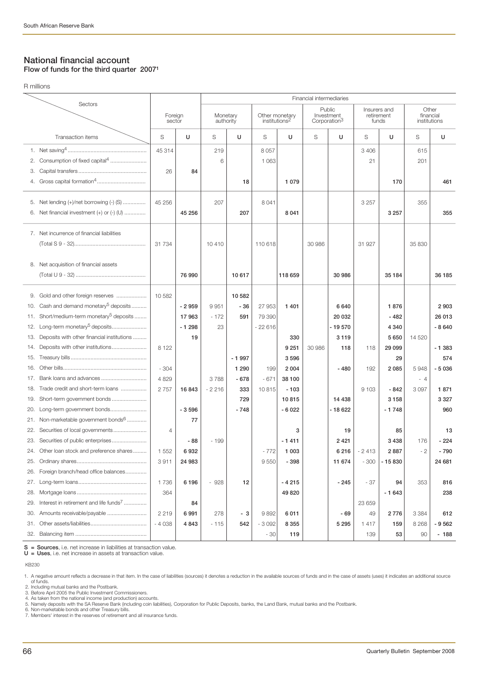R millions

## **National financial account Flow of funds for the third quarter 20071**

Financial intermediaries Sectors Public Insurers and Other<br>
vestment retirement financial Foreign Monetary Other monetary Investment retirement financial<br>sector authority institutions<sup>2</sup> Corporation<sup>3</sup> funds institutions Corporation<sup>3</sup> Transaction items S **U** S **U** S **U** S **U** S **U** S **U** 1. Net saving4 .................................................... 2. Consumption of fixed capital<sup>4</sup> ....................... 3. Capital transfers ............................................. 4. Gross capital formation<sup>4</sup>....... 5. Net lending (+)/net borrowing (-) (S) ......... 6. Net financial investment  $(+)$  or  $(-)$   $($ U $)$  .............. 7. Net incurrence of financial liabilities (Total S 9 - 32)............................................... 8. Net acquisition of financial assets (Total U 9 - 32) .............................................. 9. Gold and other foreign reserves ...... 10. Cash and demand monetary<sup>5</sup> deposits....... 11. Short/medium-term monetary<sup>5</sup> deposits ....... 12. Long-term monetary<sup>5</sup> deposits... 13. Deposits with other financial institutions ......... 14. Deposits with other institutions............. 15. Treasury bills .................................................. 16. Other bills....................................................... 17. Bank loans and advances ....... 18. Trade credit and short-term loans ................ 19. Short-term government bonds ....................... 20. Long-term government bonds............. 21. Non-marketable government bonds<sup>6</sup>..... 22. Securities of local governments... 23. Securities of public enterprises............. 24. Other loan stock and preference shares......... 25. Ordinary shares.............................................. 26. Foreign branch/head office balances.............. 27. Long-term loans... 28. Mortgage loans 29. Interest in retirement and life funds<sup>7</sup> .............. 30. Amounts receivable/payable .......................... 31. Other assets/liabilities..................................... 32. Balancing item ..... 45 314 | 219 | 8057 | | | | 3 406 | | 615 6 | 1 063 | | | | | 21 | 201 26 **84** 18 **1079 11079** 170 170 1861 45 256 | 207 | 8041 | | | | 3257 | | 355 **45 256 207 8 041 3 257 355** 31 734 | 10 410 | 110 618 | 30 986 | 31 927 | 35 830 76 990 **10 617 118 659 118 659** 30 986 35 184 36 185 10 582 **10 582 - 2 959** 9 951 **- 36** 27 953 **1 401 6 640 1 876 2 903 17 963** - 172 **591** 79 390 **20 032 - 482 26 013 - 1 298** 23 - 22 616 **- 19 570 4 340 - 8 640 19** 10 12 1330 330 3119 33119 5650 14 520 8 122 **9 251** 30 986 **118** 118 **29 099 - 1 383** - 1997 | 3 596 | | | | | 29 | 574 - 304 **1 290** 199 **2 004 - 480** 192 **2 085** 5 948 **- 5 036** 4 829 3 788 **- 678** - 671 **38 100** - 4 2 757 **16 843** - 2 216 **333** 10 815 **- 103** 9 103 **- 842** 3 097 **1 871 729 10 815 14 438 3 158 3 327 - 3 596 - 748 - 6 022 - 18 622 - 1 748 960 77** 4 **3 19 85 13 - 88** - 199 **- 1 411 2 421 3 438** 176 **- 224** 1 552 **6 932** - 772 **1 003 6 216** - 2 413 **2 887** - 2 **- 790** 3 911 **24 983** 9 550 **- 398 11 674** - 300 **- 15 830 24 681** 1 736 **6 196** - 928 **12 - 4 215 - 245** - 37 **94** 353 **816** 364 **49 820 - 1 643 238 84** | | | | | | | | | | | 23 659 2 219 **6 991** 278 **- 3** 9 892 **6 011 - 69** 49 **2 776** 3 384 **612** - 4 038 **4 843** - 115 **542** - 3 092 **8 355 5 295** 1 417 **159** 8 268 **- 9 562** - 30 **119** 139 **53** 90 **- 188**

**S = Sources**, i.e. net increase in liabilities at transaction value.<br>**U = Uses**, i.e. net increase in assets at transaction value. **U = Uses**, i.e. net increase in assets at transaction value.

KB230

2. Including mutual banks and the Postbank. 3. Before April 2005 the Public Investment Commissioners.

4. As taken from the national income (and production) accounts.<br>5. Namely denosits with the SA Besence Bank (including coin lia 5. Namely deposits with the SA Reserve Bank (including coin liabilities), Corporation for Public Deposits, banks, the Land Bank, mutual banks and the Postbank. 6. Non-marketable bonds and other Treasury bills.

7. Members' interest in the reserves of retirement and all insurance funds.

<sup>1.</sup> A negative amount reflects a decrease in that item. In the case of liabilities (sources) it denotes a reduction in the available sources of funds and in the case of assets (uses) it indicates an additional source of funds.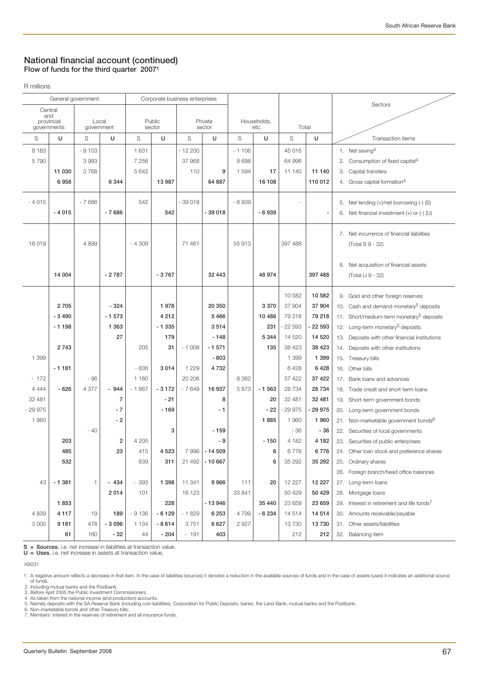## **National financial account (continued) Flow of funds for the third quarter 20071**

R millions

| General government |                   |            |         |         | Corporate business enterprises |          |          |         |             |          |          |     |                                                        |
|--------------------|-------------------|------------|---------|---------|--------------------------------|----------|----------|---------|-------------|----------|----------|-----|--------------------------------------------------------|
|                    | Central           |            |         |         |                                |          |          |         |             |          |          |     | Sectors                                                |
|                    | and<br>provincial | Local      |         |         | Public                         |          | Private  |         | Households, |          |          |     |                                                        |
| governments        |                   | government |         |         | sector                         |          | sector   |         | etc.        | Total    |          |     |                                                        |
| S                  | U                 | S          | U       | S       | U                              | S        | U        | S       | U           | S        | U        |     | Transaction items                                      |
| 8 1 8 3            |                   | $-9103$    |         | 1 631   |                                | $-12200$ |          | $-1106$ |             | 45 016   |          |     | 1. Net saving $4$                                      |
| 5790               |                   | 3993       |         | 7 2 5 6 |                                | 37 968   |          | 8698    |             | 64 996   |          | 2.  | Consumption of fixed capital <sup>4</sup>              |
|                    | 11 030            | 3768       |         | 5 6 4 2 |                                | 110      | 9        | 1 5 9 4 | 17          | 11 140   | 11 140   | 3.  | Capital transfers                                      |
|                    | 6958              |            | 6 3 4 4 |         | 13 987                         |          | 64 887   |         | 16 108      |          | 110 012  |     | 4. Gross capital formation <sup>4</sup>                |
|                    |                   |            |         |         |                                |          |          |         |             |          |          |     |                                                        |
| $-4015$            |                   | $-7686$    |         | 542     |                                | $-39018$ |          | $-6939$ |             |          |          |     | 5. Net lending (+)/net borrowing (-) (S)               |
|                    | $-4015$           |            | $-7686$ |         | 542                            |          | $-39018$ |         | $-6939$     |          |          |     | 6. Net financial investment $(+)$ or $(-)$ (U)         |
|                    |                   |            |         |         |                                |          |          |         |             |          |          |     | 7. Net incurrence of financial liabilities             |
| 18019              |                   | 4899       |         | $-4309$ |                                | 71 461   |          | 55 913  |             | 397 488  |          |     | (Total S 9 - 32)                                       |
|                    |                   |            |         |         |                                |          |          |         |             |          |          |     |                                                        |
|                    |                   |            |         |         |                                |          |          |         |             |          |          | 8.  | Net acquisition of financial assets                    |
|                    | 14 004            |            | $-2787$ |         | $-3767$                        |          | 32 443   |         | 48 974      |          | 397 488  |     | (Total U 9 - 32)                                       |
|                    |                   |            |         |         |                                |          |          |         |             |          |          |     |                                                        |
|                    |                   |            |         |         |                                |          |          |         |             | 10 582   | 10 582   |     | 9. Gold and other foreign reserves                     |
|                    | 2705              |            | $-324$  |         | 1978                           |          | 20 350   |         | 3 3 7 0     | 37 904   | 37 904   |     | 10. Cash and demand monetary <sup>5</sup> deposits     |
|                    | $-3490$           |            | $-1573$ |         | 4 2 1 2                        |          | 5466     |         | 10 4 86     | 79 218   | 79 218   |     | 11. Short/medium-term monetary <sup>5</sup> deposits   |
|                    | $-1198$           |            | 1 3 6 3 |         | $-1335$                        |          | 3514     |         | 231         | - 22 593 | - 22 593 |     | 12. Long-term monetary <sup>5</sup> deposits           |
|                    |                   |            | 27      |         | 179                            |          | $-148$   |         | 5 3 4 4     | 14 520   | 14 5 20  |     | 13. Deposits with other financial institutions         |
|                    | 2743              |            |         | 205     | 31                             | $-1008$  | $-1571$  |         | 135         | 38 4 23  | 38 4 23  |     | 14. Deposits with other institutions                   |
| 1 3 9 9            |                   |            |         |         |                                |          | $-803$   |         |             | 1 3 9 9  | 1 3 9 9  |     | 15. Treasury bills                                     |
|                    | $-1181$           |            |         | $-836$  | 3 0 1 4                        | 1 2 2 9  | 4732     |         |             | 6428     | 6428     | 16. | Other bills                                            |
| $-172$             |                   | $-96$      |         | 1 1 8 0 |                                | 20 20 6  |          | 8 3 6 2 |             | 37 422   | 37 4 22  |     | 17. Bank loans and advances                            |
| 4 4 4 4            | $-626$            | 4 3 7 7    | - 944   | $-1867$ | $-3172$                        | $-7649$  | 16 937   | 5873    | $-1563$     | 28 7 34  | 28 7 34  |     | 18. Trade credit and short-term loans                  |
| 32 481             |                   |            | 7       |         | $-21$                          |          | 8        |         | 20          | 32 481   | 32 481   |     | 19. Short-term government bonds                        |
| $-29975$           |                   |            | $-7$    |         | $-169$                         |          | - 1      |         | - 22        | 29 975   | - 29 975 |     | 20. Long-term government bonds                         |
| 1960               |                   |            | $-2$    |         |                                |          |          |         | 1885        | 1 960    | 1960     |     | 21. Non-marketable government bonds <sup>6</sup>       |
|                    |                   | $-40$      |         |         | 3                              |          | $-159$   |         |             | $-36$    | - 36     |     | 22. Securities of local governments                    |
|                    | 203               |            | 2       | 4 2 0 5 |                                |          | - 9      |         | $-150$      | 4 182    | 4 1 8 2  |     | 23. Securities of public enterprises                   |
|                    | 485               |            | 23      | 415     | 4 5 23                         | 7996     | $-14509$ |         | 6           | 6776     | 6776     |     | 24. Other loan stock and preference shares             |
|                    | 532               |            |         | 639     | 311                            | 21 492   | $-10667$ |         | 6           | 35 29 2  | 35 292   |     | 25. Ordinary shares                                    |
|                    |                   |            |         |         |                                |          |          |         |             |          |          |     | 26. Foreign branch/head office balances                |
| 43                 | $-1381$           | 1          | $-434$  | $-393$  | 1 3 9 8                        | 11 341   | 9966     | 111     | 20          | 12 227   | 12 2 2 7 |     | 27. Long-term loans                                    |
|                    |                   |            | 2014    | 101     |                                | 16 123   |          | 33 841  |             | 50 429   | 50 4 29  |     | 28. Mortgage loans                                     |
|                    | 1853              |            |         |         | 228                            |          | $-13946$ |         | 35 4 40     | 23 659   | 23 659   |     | 29. Interest in retirement and life funds <sup>7</sup> |
| 4839               | 4 1 1 7           | 19         | 189     | $-9136$ | $-6129$                        | $-1829$  | 6 2 5 3  | 4799    | $-6234$     | 14514    | 14 514   |     | 30. Amounts receivable/payable                         |
| 3 0 0 0            | 9181              | 478        | $-3096$ | 1 1 3 4 | $-8614$                        | 3751     | 6627     | 2927    |             | 13730    | 13730    |     | 31. Other assets/liabilities                           |
|                    | 61                | 160        | $-32$   | 44      | $-204$                         | $-191$   | 403      |         |             | 212      | 212      |     | 32. Balancing item                                     |

**S = Sources**, i.e. net increase in liabilities at transaction value. **U = Uses**, i.e. net increase in assets at transaction value.

KB231

3. Before April 2005 the Public Investment Commissioners.<br>4. As taken from the national income (and production) accounts.<br>5. Namely deposits with the SA Reserve Bank (including coin liabilities), Corporation for Public Dep

<sup>1.</sup> A negative amount reflects a decrease in that item. In the case of liabilities (sources) it denotes a reduction in the available sources of funds and in the case of assets (uses) it indicates an additional source<br>of fun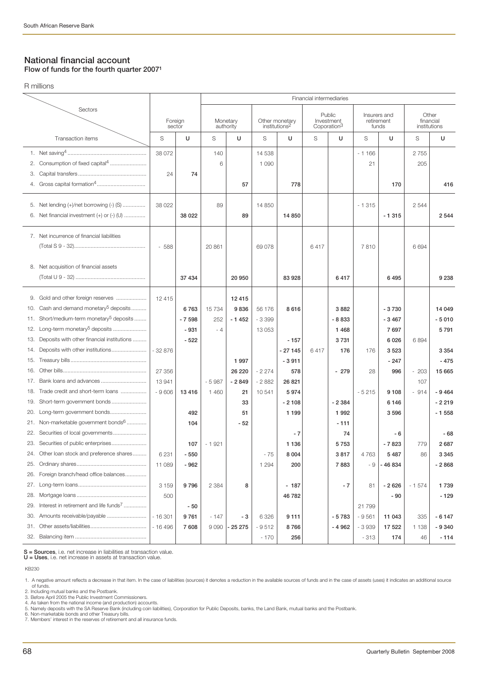## **National financial account Flow of funds for the fourth quarter 20071**

R millions

|                                                                   |                                                                                                                                                                                                                                                                                                                                     |                                                     |                                                | Financial intermediaries                     |                                                                  |                                                              |                                                                |                                                 |                                                         |                                              |                                                                        |                                    |                                                                     |
|-------------------------------------------------------------------|-------------------------------------------------------------------------------------------------------------------------------------------------------------------------------------------------------------------------------------------------------------------------------------------------------------------------------------|-----------------------------------------------------|------------------------------------------------|----------------------------------------------|------------------------------------------------------------------|--------------------------------------------------------------|----------------------------------------------------------------|-------------------------------------------------|---------------------------------------------------------|----------------------------------------------|------------------------------------------------------------------------|------------------------------------|---------------------------------------------------------------------|
|                                                                   | Sectors                                                                                                                                                                                                                                                                                                                             |                                                     |                                                |                                              |                                                                  |                                                              |                                                                |                                                 |                                                         |                                              |                                                                        |                                    |                                                                     |
|                                                                   |                                                                                                                                                                                                                                                                                                                                     | Foreign<br>sector                                   |                                                | Monetary<br>authority                        |                                                                  | Other monetary<br>institutions <sup>2</sup>                  |                                                                | Public<br>Investment<br>Coporation <sup>3</sup> |                                                         | Insurers and<br>retirement<br>funds          |                                                                        | Other<br>financial<br>institutions |                                                                     |
|                                                                   | Transaction items                                                                                                                                                                                                                                                                                                                   | S                                                   | U                                              | S                                            | U                                                                | S                                                            | U                                                              | S                                               | U                                                       | S                                            | U                                                                      | S                                  | U                                                                   |
| 2.<br>З.<br>4.                                                    | Consumption of fixed capital <sup>4</sup>                                                                                                                                                                                                                                                                                           | 38 072<br>24                                        | 74                                             | 140<br>6                                     | 57                                                               | 14 538<br>1 0 9 0                                            | 778                                                            |                                                 |                                                         | $-1166$<br>21                                | 170                                                                    | 2755<br>205                        | 416                                                                 |
| 6.                                                                | 5. Net lending (+)/net borrowing (-) (S)<br>Net financial investment (+) or (-) (U)                                                                                                                                                                                                                                                 | 38 0 22                                             | 38 0 22                                        | 89                                           | 89                                                               | 14 850                                                       | 14 850                                                         |                                                 |                                                         | $-1315$                                      | $-1315$                                                                | 2 5 4 4                            | 2 5 4 4                                                             |
|                                                                   | 7. Net incurrence of financial liabilities                                                                                                                                                                                                                                                                                          | $-588$                                              |                                                | 20 861                                       |                                                                  | 69 078                                                       |                                                                | 6417                                            |                                                         | 7810                                         |                                                                        | 6694                               |                                                                     |
|                                                                   | 8. Net acquisition of financial assets                                                                                                                                                                                                                                                                                              |                                                     | 37 434                                         |                                              | 20 950                                                           |                                                              | 83 928                                                         |                                                 | 6417                                                    |                                              | 6495                                                                   |                                    | 9 2 3 8                                                             |
| 9.<br>10.<br>11.<br>12.<br>13.<br>14.<br>15.<br>16.<br>17.<br>18. | Gold and other foreign reserves<br>Cash and demand monetary <sup>5</sup> deposits<br>Short/medium-term monetary <sup>5</sup> deposits<br>Long-term monetary <sup>5</sup> deposits<br>Deposits with other financial institutions<br>Deposits with other institutions<br>Bank loans and advances<br>Trade credit and short-term loans | 12 4 15<br>$-32876$<br>27 35 6<br>13 941<br>$-9606$ | 6763<br>$-7598$<br>$-931$<br>$-522$<br>13 4 16 | 15 7 34<br>252<br>$-4$<br>$-5987$<br>1 4 6 0 | 12 4 15<br>9836<br>$-1452$<br>1 9 9 7<br>26 220<br>$-2849$<br>21 | 56 176<br>$-3399$<br>13 0 53<br>$-2274$<br>$-2882$<br>10 541 | 8616<br>$-157$<br>- 27 145<br>$-3911$<br>578<br>26 821<br>5974 | 6417                                            | 3882<br>$-8833$<br>1468<br>3731<br>176<br>$-279$        | 176<br>28<br>$-5215$                         | $-3730$<br>$-3467$<br>7697<br>6026<br>3523<br>$-247$<br>996<br>9 1 0 8 | 6894<br>$-203$<br>107<br>$-914$    | 14 049<br>$-5010$<br>5791<br>3 3 5 4<br>$-475$<br>15 665<br>$-9464$ |
| 19.<br>20.<br>22.<br>24.<br>25.                                   | Short-term government bonds<br>Long-term government bonds<br>21. Non-marketable government bonds <sup>6</sup><br>23. Securities of public enterprises<br>Other loan stock and preference shares                                                                                                                                     | 6 2 3 1<br>11 089                                   | 492<br>104<br>107<br>- 550<br>$-962$           | $-1921$                                      | 33<br>51<br>- 52                                                 | - 75<br>1 2 9 4                                              | $-2108$<br>1 1 9 9<br>$-7$<br>1 1 3 6<br>8 0 0 4<br>200        |                                                 | $-2384$<br>1992<br>$-111$<br>74<br>5753<br>3817<br>7883 | 4763<br>- 9                                  | 6146<br>3596<br>- 6<br>$-7823$<br>5487<br>$-46834$                     | 779<br>86                          | $-2219$<br>$-1558$<br>$-68$<br>2687<br>3 345<br>$-2868$             |
| 26.<br>27.<br>28.<br>29.<br>30.<br>31.                            | Foreign branch/head office balances<br>Interest in retirement and life funds <sup>7</sup><br>Amounts receivable/payable                                                                                                                                                                                                             | 3 1 5 9<br>500<br>$-16301$<br>$-16496$              | 9796<br>- 50<br>9761<br>7608                   | 2 3 8 4<br>$-147$<br>9090                    | 8<br>- 3<br>- 25 275                                             | 6 3 2 6<br>$-9512$<br>$-170$                                 | $-187$<br>46 782<br>9 1 1 1<br>8766<br>256                     |                                                 | $-7$<br>$-5783$<br>$-4962$                              | 81<br>21 799<br>$-9561$<br>$-3939$<br>$-313$ | $-2626$<br>$-90$<br>11 043<br>17 522<br>174                            | $-1574$<br>335<br>1 1 3 8<br>46    | 1739<br>$-129$<br>$-6147$<br>$-9340$<br>$-114$                      |

**S = Sources**, i.e. net increase in liabilities at transaction value. **U = Uses**, i.e. net increase in assets at transaction value.

KB230

3. Before April 2005 the Public Investment Commissioners.<br>4. As taken from the national income (and production) accounts.<br>5. Namely deposits with the SA Reserve Bank (including coin liabilities), Corporation for Public Dep

<sup>1.</sup> A negative amount reflects a decrease in that item. In the case of liabilities (sources) it denotes a reduction in the available sources of funds and in the case of assets (uses) it indicates an additional source<br>- of f